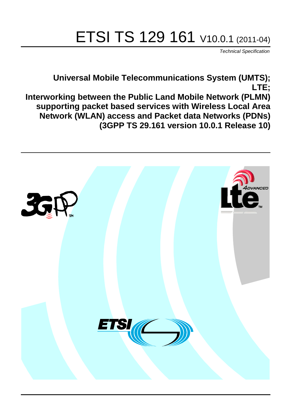# ETSI TS 129 161 V10.0.1 (2011-04)

*Technical Specification*

**Universal Mobile Telecommunications System (UMTS); LTE; Interworking between the Public Land Mobile Network (PLMN) supporting packet based services with Wireless Local Area Network (WLAN) access and Packet data Networks (PDNs) (3GPP TS 29.161 version 10.0.1 Release 10)**

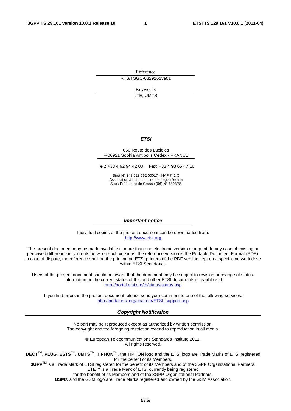Reference RTS/TSGC-0329161va01

> Keywords LTE, UMTS

#### *ETSI*

#### 650 Route des Lucioles F-06921 Sophia Antipolis Cedex - FRANCE

Tel.: +33 4 92 94 42 00 Fax: +33 4 93 65 47 16

Siret N° 348 623 562 00017 - NAF 742 C Association à but non lucratif enregistrée à la Sous-Préfecture de Grasse (06) N° 7803/88

#### *Important notice*

Individual copies of the present document can be downloaded from: [http://www.etsi.org](http://www.etsi.org/)

The present document may be made available in more than one electronic version or in print. In any case of existing or perceived difference in contents between such versions, the reference version is the Portable Document Format (PDF). In case of dispute, the reference shall be the printing on ETSI printers of the PDF version kept on a specific network drive within ETSI Secretariat.

Users of the present document should be aware that the document may be subject to revision or change of status. Information on the current status of this and other ETSI documents is available at <http://portal.etsi.org/tb/status/status.asp>

If you find errors in the present document, please send your comment to one of the following services: [http://portal.etsi.org/chaircor/ETSI\\_support.asp](http://portal.etsi.org/chaircor/ETSI_support.asp)

#### *Copyright Notification*

No part may be reproduced except as authorized by written permission. The copyright and the foregoing restriction extend to reproduction in all media.

> © European Telecommunications Standards Institute 2011. All rights reserved.

**DECT**TM, **PLUGTESTS**TM, **UMTS**TM, **TIPHON**TM, the TIPHON logo and the ETSI logo are Trade Marks of ETSI registered for the benefit of its Members.

**3GPP**TM is a Trade Mark of ETSI registered for the benefit of its Members and of the 3GPP Organizational Partners. **LTE**™ is a Trade Mark of ETSI currently being registered

for the benefit of its Members and of the 3GPP Organizational Partners.

**GSM**® and the GSM logo are Trade Marks registered and owned by the GSM Association.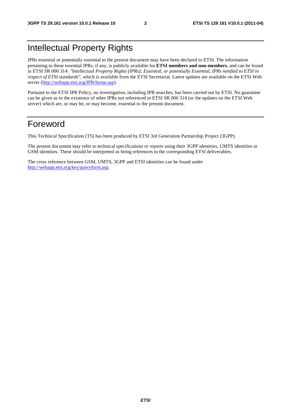# Intellectual Property Rights

IPRs essential or potentially essential to the present document may have been declared to ETSI. The information pertaining to these essential IPRs, if any, is publicly available for **ETSI members and non-members**, and can be found in ETSI SR 000 314: *"Intellectual Property Rights (IPRs); Essential, or potentially Essential, IPRs notified to ETSI in respect of ETSI standards"*, which is available from the ETSI Secretariat. Latest updates are available on the ETSI Web server ([http://webapp.etsi.org/IPR/home.asp\)](http://webapp.etsi.org/IPR/home.asp).

Pursuant to the ETSI IPR Policy, no investigation, including IPR searches, has been carried out by ETSI. No guarantee can be given as to the existence of other IPRs not referenced in ETSI SR 000 314 (or the updates on the ETSI Web server) which are, or may be, or may become, essential to the present document.

# Foreword

This Technical Specification (TS) has been produced by ETSI 3rd Generation Partnership Project (3GPP).

The present document may refer to technical specifications or reports using their 3GPP identities, UMTS identities or GSM identities. These should be interpreted as being references to the corresponding ETSI deliverables.

The cross reference between GSM, UMTS, 3GPP and ETSI identities can be found under [http://webapp.etsi.org/key/queryform.asp.](http://webapp.etsi.org/key/queryform.asp)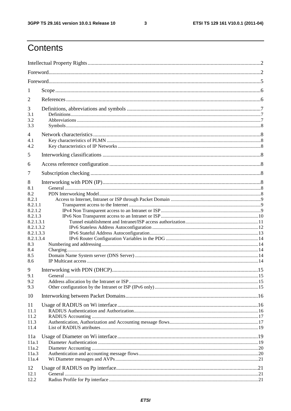$\mathbf{3}$ 

# Contents

| 1                                              |  |  |  |  |  |
|------------------------------------------------|--|--|--|--|--|
| 2                                              |  |  |  |  |  |
| 3<br>3.1<br>3.2<br>3.3                         |  |  |  |  |  |
| $\overline{4}$<br>4.1<br>4.2                   |  |  |  |  |  |
| 5                                              |  |  |  |  |  |
| 6                                              |  |  |  |  |  |
| 7<br>8<br>8.1                                  |  |  |  |  |  |
| 8.2<br>8.2.1<br>8.2.1.1<br>8.2.1.2             |  |  |  |  |  |
| 8.2.1.3<br>8.2.1.3.1<br>8.2.1.3.2<br>8.2.1.3.3 |  |  |  |  |  |
| 8.2.1.3.4<br>8.3<br>8.4<br>8.5<br>8.6          |  |  |  |  |  |
| 9<br>9.1<br>9.2<br>9.3                         |  |  |  |  |  |
| 10                                             |  |  |  |  |  |
| 11<br>11.1<br>11.2<br>11.3<br>11.4             |  |  |  |  |  |
| 11a<br>11a.1<br>11a.2<br>11a.3<br>11a.4        |  |  |  |  |  |
| 12<br>12.1<br>12.2                             |  |  |  |  |  |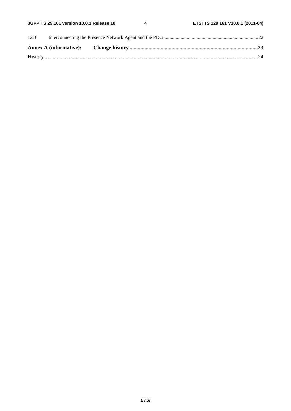| 12.3 |  |  |  |  |
|------|--|--|--|--|
|      |  |  |  |  |
|      |  |  |  |  |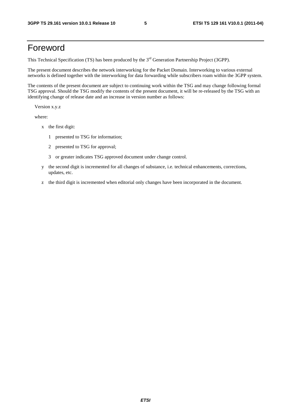### Foreword

This Technical Specification (TS) has been produced by the 3<sup>rd</sup> Generation Partnership Project (3GPP).

The present document describes the network interworking for the Packet Domain. Interworking to various external networks is defined together with the interworking for data forwarding while subscribers roam within the 3GPP system.

The contents of the present document are subject to continuing work within the TSG and may change following formal TSG approval. Should the TSG modify the contents of the present document, it will be re-released by the TSG with an identifying change of release date and an increase in version number as follows:

Version x.y.z

where:

- x the first digit:
	- 1 presented to TSG for information;
	- 2 presented to TSG for approval;
	- 3 or greater indicates TSG approved document under change control.
- y the second digit is incremented for all changes of substance, i.e. technical enhancements, corrections, updates, etc.
- z the third digit is incremented when editorial only changes have been incorporated in the document.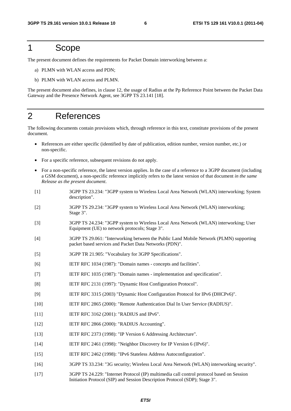### 1 Scope

The present document defines the requirements for Packet Domain interworking between a:

- a) PLMN with WLAN access and PDN;
- b) PLMN with WLAN access and PLMN.

The present document also defines, in clause 12, the usage of Radius at the Pp Reference Point between the Packet Data Gateway and the Presence Network Agent, see 3GPP TS 23.141 [18].

### 2 References

The following documents contain provisions which, through reference in this text, constitute provisions of the present document.

- References are either specific (identified by date of publication, edition number, version number, etc.) or non-specific.
- For a specific reference, subsequent revisions do not apply.
- For a non-specific reference, the latest version applies. In the case of a reference to a 3GPP document (including a GSM document), a non-specific reference implicitly refers to the latest version of that document *in the same Release as the present document*.
- [1] 3GPP TS 23.234: "3GPP system to Wireless Local Area Network (WLAN) interworking; System description".
- [2] 3GPP TS 29.234: "3GPP system to Wireless Local Area Network (WLAN) interworking; Stage 3".
- [3] 3GPP TS 24.234: "3GPP system to Wireless Local Area Network (WLAN) interworking; User Equipment (UE) to network protocols; Stage 3".
- [4] 3GPP TS 29.061: "Interworking between the Public Land Mobile Network (PLMN) supporting packet based services and Packet Data Networks (PDN)".
- [5] 3GPP TR 21.905: "Vocabulary for 3GPP Specifications".
- [6] IETF RFC 1034 (1987): "Domain names concepts and facilities".
- [7] IETF RFC 1035 (1987): "Domain names implementation and specification".
- [8] IETF RFC 2131 (1997): "Dynamic Host Configuration Protocol".
- [9] IETF RFC 3315 (2003) "Dynamic Host Configuration Protocol for IPv6 (DHCPv6)".
- [10] IETF RFC 2865 (2000): "Remote Authentication Dial In User Service (RADIUS)".
- [11] **IETF RFC 3162 (2001): "RADIUS and IPv6".**
- [12] IETF RFC 2866 (2000): "RADIUS Accounting".
- [13] IETF RFC 2373 (1998): "IP Version 6 Addressing Architecture".
- [14] IETF RFC 2461 (1998): "Neighbor Discovery for IP Version 6 (IPv6)".
- [15] IETF RFC 2462 (1998): "IPv6 Stateless Address Autoconfiguration".
- [16] 3GPP TS 33.234: "3G security; Wireless Local Area Network (WLAN) interworking security".
- [17] 3GPP TS 24.229: "Internet Protocol (IP) multimedia call control protocol based on Session Initiation Protocol (SIP) and Session Description Protocol (SDP); Stage 3".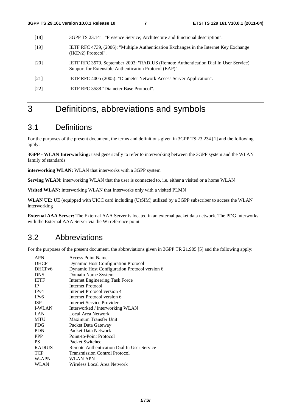- [18] 3GPP TS 23.141: "Presence Service; Architecture and functional description".
- [19] IETF RFC 4739, (2006): "Multiple Authentication Exchanges in the Internet Key Exchange (IKEv2) Protocol".
- [20] IETF RFC 3579, September 2003: "RADIUS (Remote Authentication Dial In User Service) Support for Extensible Authentication Protocol (EAP)".
- [21] IETF RFC 4005 (2005): "Diameter Network Access Server Application".
- [22] IETF RFC 3588 "Diameter Base Protocol".

# 3 Definitions, abbreviations and symbols

### 3.1 Definitions

For the purposes of the present document, the terms and definitions given in 3GPP TS 23.234 [1] and the following apply:

**3GPP - WLAN Interworking:** used generically to refer to interworking between the 3GPP system and the WLAN family of standards

**interworking WLAN:** WLAN that interworks with a 3GPP system

**Serving WLAN:** interworking WLAN that the user is connected to, i.e. either a visited or a home WLAN

**Visited WLAN:** interworking WLAN that Interworks only with a visited PLMN

**WLAN UE:** UE (equipped with UICC card including (U)SIM) utilized by a 3GPP subscriber to access the WLAN interworking

**External AAA Server:** The External AAA Server is located in an external packet data network. The PDG interworks with the External AAA Server via the Wi reference point.

### 3.2 Abbreviations

For the purposes of the present document, the abbreviations given in 3GPP TR 21.905 [5] and the following apply:

| <b>APN</b>         | <b>Access Point Name</b>                      |
|--------------------|-----------------------------------------------|
| <b>DHCP</b>        | <b>Dynamic Host Configuration Protocol</b>    |
| DHCP <sub>v6</sub> | Dynamic Host Configuration Protocol version 6 |
| <b>DNS</b>         | Domain Name System                            |
| <b>IETF</b>        | <b>Internet Engineering Task Force</b>        |
| <b>IP</b>          | <b>Internet Protocol</b>                      |
| IPv4               | Internet Protocol version 4                   |
| IPv6               | Internet Protocol version 6                   |
| <b>ISP</b>         | Internet Service Provider                     |
| <b>I-WLAN</b>      | Interworked / interworking WLAN               |
| LAN                | Local Area Network                            |
| <b>MTU</b>         | Maximum Transfer Unit                         |
| <b>PDG</b>         | Packet Data Gateway                           |
| <b>PDN</b>         | Packet Data Network                           |
| <b>PPP</b>         | Point-to-Point Protocol                       |
| PS.                | Packet Switched                               |
| <b>RADIUS</b>      | Remote Authentication Dial In User Service    |
| <b>TCP</b>         | <b>Transmission Control Protocol</b>          |
| W-APN              | WLAN APN                                      |
| WLAN               | Wireless Local Area Network                   |
|                    |                                               |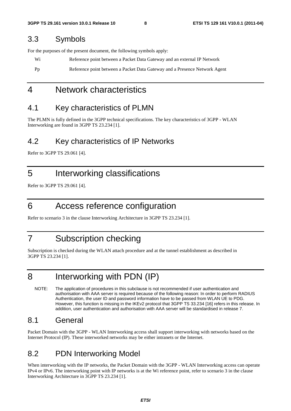### 3.3 Symbols

For the purposes of the present document, the following symbols apply:

Wi Reference point between a Packet Data Gateway and an external IP Network

Pp Reference point between a Packet Data Gateway and a Presence Network Agent

### 4 Network characteristics

### 4.1 Key characteristics of PLMN

The PLMN is fully defined in the 3GPP technical specifications. The key characteristics of 3GPP - WLAN Interworking are found in 3GPP TS 23.234 [1].

### 4.2 Key characteristics of IP Networks

Refer to 3GPP TS 29.061 [4].

# 5 Interworking classifications

Refer to 3GPP TS 29.061 [4].

# 6 Access reference configuration

Refer to scenario 3 in the clause Interworking Architecture in 3GPP TS 23.234 [1].

# 7 Subscription checking

Subscription is checked during the WLAN attach procedure and at the tunnel establishment as described in 3GPP TS 23.234 [1].

# 8 Interworking with PDN (IP)

NOTE: The application of procedures in this subclause is not recommended if user authentication and authorisation with AAA server is required because of the following reason: In order to perform RADIUS Authentication, the user ID and password information have to be passed from WLAN UE to PDG. However, this function is missing in the IKEv2 protocol that 3GPP TS 33.234 [16] refers in this release. In addition, user authentication and authorisation with AAA server will be standardised in release 7.

### 8.1 General

Packet Domain with the 3GPP - WLAN Interworking access shall support interworking with networks based on the Internet Protocol (IP). These interworked networks may be either intranets or the Internet.

### 8.2 PDN Interworking Model

When interworking with the IP networks, the Packet Domain with the 3GPP - WLAN Interworking access can operate IPv4 or IPv6. The interworking point with IP networks is at the Wi reference point, refer to scenario 3 in the clause Interworking Architecture in 3GPP TS 23.234 [1].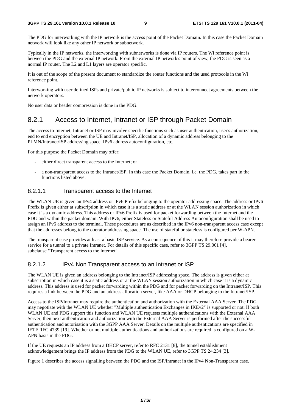The PDG for interworking with the IP network is the access point of the Packet Domain. In this case the Packet Domain network will look like any other IP network or subnetwork.

Typically in the IP networks, the interworking with subnetworks is done via IP routers. The Wi reference point is between the PDG and the external IP network. From the external IP network's point of view, the PDG is seen as a normal IP router. The L2 and L1 layers are operator specific.

It is out of the scope of the present document to standardize the router functions and the used protocols in the Wi reference point.

Interworking with user defined ISPs and private/public IP networks is subject to interconnect agreements between the network operators.

No user data or header compression is done in the PDG.

#### 8.2.1 Access to Internet, Intranet or ISP through Packet Domain

The access to Internet, Intranet or ISP may involve specific functions such as user authentication, user's authorization, end to end encryption between the UE and Intranet/ISP, allocation of a dynamic address belonging to the PLMN/Intranet/ISP addressing space, IPv6 address autoconfiguration, etc.

For this purpose the Packet Domain may offer:

- either direct transparent access to the Internet; or
- a non-transparent access to the Intranet/ISP. In this case the Packet Domain, i.e. the PDG, takes part in the functions listed above.

#### 8.2.1.1 Transparent access to the Internet

The WLAN UE is given an IPv4 address or IPv6 Prefix belonging to the operator addressing space. The address or IPv6 Prefix is given either at subscription in which case it is a static address or at the WLAN session authorization in which case it is a dynamic address. This address or IPv6 Prefix is used for packet forwarding between the Internet and the PDG and within the packet domain. With IPv6, either Stateless or Stateful Address Autoconfiguration shall be used to assign an IPv6 address to the terminal. These procedures are as described in the IPv6 non-transparent access case except that the addresses belong to the operator addressing space. The use of stateful or stateless is configured per W-APN.

The transparent case provides at least a basic ISP service. As a consequence of this it may therefore provide a bearer service for a tunnel to a private Intranet. For details of this specific case, refer to 3GPP TS 29.061 [4], subclause "Transparent access to the Internet".

#### 8.2.1.2 IPv4 Non Transparent access to an Intranet or ISP

The WLAN UE is given an address belonging to the Intranet/ISP addressing space. The address is given either at subscription in which case it is a static address or at the WLAN session authorization in which case it is a dynamic address. This address is used for packet forwarding within the PDG and for packet forwarding on the Intranet/ISP. This requires a link between the PDG and an address allocation server, like AAA or DHCP belonging to the Intranet/ISP.

Access to the ISP/Intranet may require the authentication and authorization with the External AAA Server. The PDG may negotiate with the WLAN UE whether "Multiple authentication Exchanges in IKEv2" is supported or not. If both WLAN UE and PDG support this function and WLAN UE requests multiple authentications with the External AAA Server, then next authentication and authorization with the External AAA Server is performed after the successful authentication and autorisation with the 3GPP AAA Server. Details on the multiple authentications are specified in IETF RFC 4739 [19]. Whether or not multiple authentications and authorizations are required is configured on a W-APN basis in the PDG.

If the UE requests an IP address from a DHCP server, refer to RFC 2131 [8], the tunnel establishment acknowledgement brings the IP address from the PDG to the WLAN UE, refer to 3GPP TS 24.234 [3].

Figure 1 describes the access signalling between the PDG and the ISP/Intranet in the IPv4 Non-Transparent case.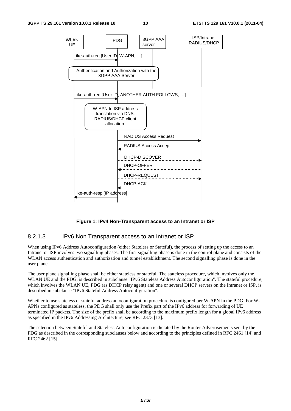

#### **Figure 1: IPv4 Non-Transparent access to an Intranet or ISP**

#### 8.2.1.3 IPv6 Non Transparent access to an Intranet or ISP

When using IPv6 Address Autoconfiguration (either Stateless or Stateful), the process of setting up the access to an Intranet or ISP involves two signalling phases. The first signalling phase is done in the control plane and consists of the WLAN access authentication and authorization and tunnel establishment. The second signalling phase is done in the user plane.

The user plane signalling phase shall be either stateless or stateful. The stateless procedure, which involves only the WLAN UE and the PDG, is described in subclause "IPv6 Stateless Address Autoconfiguration". The stateful procedure, which involves the WLAN UE, PDG (as DHCP relay agent) and one or several DHCP servers on the Intranet or ISP, is described in subclause "IPv6 Stateful Address Autoconfiguration".

Whether to use stateless or stateful address autoconfiguration procedure is configured per W-APN in the PDG. For W-APNs configured as stateless, the PDG shall only use the Prefix part of the IPv6 address for forwarding of UE terminated IP packets. The size of the prefix shall be according to the maximum prefix length for a global IPv6 address as specified in the IPv6 Addressing Architecture, see RFC 2373 [13].

The selection between Stateful and Stateless Autoconfiguration is dictated by the Router Advertisements sent by the PDG as described in the corresponding subclauses below and according to the principles defined in RFC 2461 [14] and RFC 2462 [15].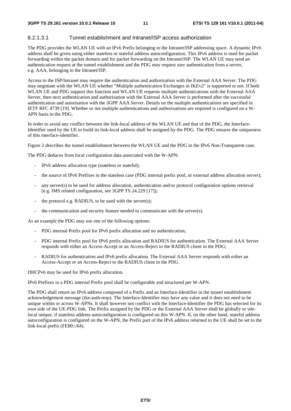#### 8.2.1.3.1 Tunnel establishment and Intranet/ISP access authorization

The PDG provides the WLAN UE with an IPv6 Prefix belonging to the Intranet/ISP addressing space. A dynamic IPv6 address shall be given using either stateless or stateful address autoconfiguration. This IPv6 address is used for packet forwarding within the packet domain and for packet forwarding on the Intranet/ISP. The WLAN UE may send an authentication request at the tunnel establishment and the PDG may request user authentication from a server, e.g. AAA, belonging to the Intranet/ISP.

Access to the ISP/Intranet may require the authentication and authorization with the External AAA Server. The PDG may negotiate with the WLAN UE whether "Multiple authentication Exchanges in IKEv2" is supported or not. If both WLAN UE and PDG support this function and WLAN UE requests multiple authentications with the External AAA Server, then next authentication and authorization with the External AAA Server is performed after the successful authentication and autorisation with the 3GPP AAA Server. Details on the multiple authentications are specified in IETF RFC 4739 [19]. Whether or not multiple authentications and authorizations are required is configured on a W-APN basis in the PDG.

In order to avoid any conflict between the link-local address of the WLAN UE and that of the PDG, the Interface-Identifier used by the UE to build its link-local address shall be assigned by the PDG. The PDG ensures the uniqueness of this interface-identifier.

Figure 2 describes the tunnel establishment between the WLAN UE and the PDG in the IPv6 Non-Transparent case.

The PDG deduces from local configuration data associated with the W-APN:

- IPv6 address allocation type (stateless or stateful);
- the source of IPv6 Prefixes in the stateless case (PDG internal prefix pool, or external address allocation server);
- any server(s) to be used for address allocation, authentication and/or protocol configuration options retrieval (e.g. IMS related configuration, see 3GPP TS 24.229 [17]);
- the protocol e.g. RADIUS, to be used with the server(s);
- the communication and security feature needed to communicate with the server(s).

As an example the PDG may use one of the following options:

- PDG internal Prefix pool for IPv6 prefix allocation and no authentication;
- PDG internal Prefix pool for IPv6 prefix allocation and RADIUS for authentication. The External AAA Server responds with either an Access-Accept or an Access-Reject to the RADIUS client in the PDG;
- RADIUS for authentication and IPv6 prefix allocation. The External AAA Server responds with either an Access-Accept or an Access-Reject to the RADIUS client in the PDG.

DHCPv6 may be used for IPv6 prefix allocation.

IPv6 Prefixes in a PDG internal Prefix pool shall be configurable and structured per W-APN.

The PDG shall return an IPv6 address composed of a Prefix and an Interface-Identifier in the tunnel establishment acknowledgement message (ike-auth-resp). The Interface-Identifier may have any value and it does not need to be unique within or across W-APNs. It shall however not conflict with the Interface-Identifier the PDG has selected for its own side of the UE-PDG link. The Prefix assigned by the PDG or the External AAA Server shall be globally or sitelocal unique, if stateless address autoconfiguration is configured on this W-APN. If, on the other hand, stateful address autoconfiguration is configured on the W-APN, the Prefix part of the IPv6 address returned to the UE shall be set to the link-local prefix (FE80::/64).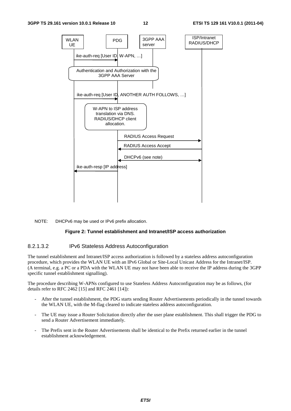

#### NOTE: DHCPv6 may be used or IPv6 prefix allocation.

#### **Figure 2: Tunnel establishment and Intranet/ISP access authorization**

#### 8.2.1.3.2 IPv6 Stateless Address Autoconfiguration

The tunnel establishment and Intranet/ISP access authorization is followed by a stateless address autoconfiguration procedure, which provides the WLAN UE with an IPv6 Global or Site-Local Unicast Address for the Intranet/ISP. (A terminal, e.g. a PC or a PDA with the WLAN UE may not have been able to receive the IP address during the 3GPP specific tunnel establishment signalling).

The procedure describing W-APNs configured to use Stateless Address Autoconfiguration may be as follows, (for details refer to RFC 2462 [15] and RFC 2461 [14]):

- After the tunnel establishment, the PDG starts sending Router Advertisements periodically in the tunnel towards the WLAN UE, with the M-flag cleared to indicate stateless address autoconfiguration.
- The UE may issue a Router Solicitation directly after the user plane establishment. This shall trigger the PDG to send a Router Advertisement immediately.
- The Prefix sent in the Router Advertisements shall be identical to the Prefix returned earlier in the tunnel establishment acknowledgement.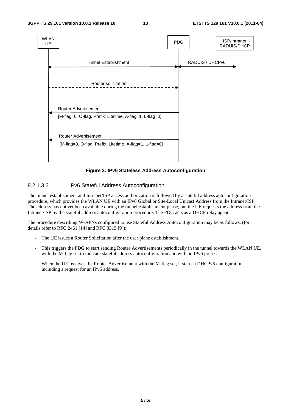

**Figure 3: IPv6 Stateless Address Autoconfiguration** 

#### 8.2.1.3.3 IPv6 Stateful Address Autoconfiguration

The tunnel establishment and Intranet/ISP access authorization is followed by a stateful address autoconfiguration procedure, which provides the WLAN UE with an IPv6 Global or Site-Local Unicast Address from the Intranet/ISP. The address has not yet been available during the tunnel establishment phase, but the UE requests the address from the Intranet/ISP by the stateful address autoconfiguration procedure. The PDG acts as a DHCP relay agent.

The procedure describing W-APNs configured to use Stateful Address Autoconfiguration may be as follows, (for details refer to RFC 2461 [14] and RFC 3315 [9]):

- The UE issues a Router Solicitation after the user plane establishment.
- This triggers the PDG to start sending Router Advertisements periodically in the tunnel towards the WLAN UE, with the M-flag set to indicate stateful address autoconfiguration and with no IPv6 prefix.
- When the UE receives the Router Advertisement with the M-flag set, it starts a DHCPv6 configuration including a request for an IPv6 address.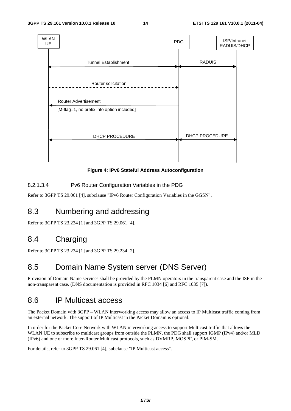

**Figure 4: IPv6 Stateful Address Autoconfiguration** 

#### 8.2.1.3.4 IPv6 Router Configuration Variables in the PDG

Refer to 3GPP TS 29.061 [4], subclause "IPv6 Router Configuration Variables in the GGSN".

# 8.3 Numbering and addressing

Refer to 3GPP TS 23.234 [1] and 3GPP TS 29.061 [4].

### 8.4 Charging

Refer to 3GPP TS 23.234 [1] and 3GPP TS 29.234 [2].

### 8.5 Domain Name System server (DNS Server)

Provision of Domain Name services shall be provided by the PLMN operators in the transparent case and the ISP in the non-transparent case. (DNS documentation is provided in RFC 1034 [6] and RFC 1035 [7]).

### 8.6 IP Multicast access

The Packet Domain with 3GPP – WLAN interworking access may allow an access to IP Multicast traffic coming from an external network. The support of IP Multicast in the Packet Domain is optional.

In order for the Packet Core Network with WLAN interworking access to support Multicast traffic that allows the WLAN UE to subscribe to multicast groups from outside the PLMN, the PDG shall support IGMP (IPv4) and/or MLD (IPv6) and one or more Inter-Router Multicast protocols, such as DVMRP, MOSPF, or PIM-SM.

For details, refer to 3GPP TS 29.061 [4], subclause "IP Multicast access".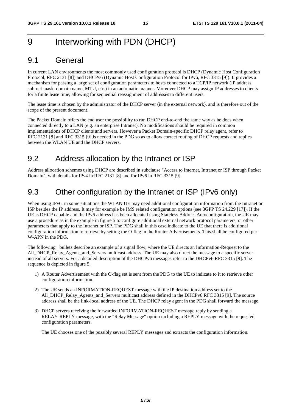# 9 Interworking with PDN (DHCP)

### 9.1 General

In current LAN environments the most commonly used configuration protocol is DHCP (Dynamic Host Configuration Protocol, RFC 2131 [8]) and DHCPv6 (Dynamic Host Configuration Protocol for IPv6, RFC 3315 [9]). It provides a mechanism for passing a large set of configuration parameters to hosts connected to a TCP/IP network (IP address, sub-net mask, domain name, MTU, etc.) in an automatic manner. Moreover DHCP may assign IP addresses to clients for a finite lease time, allowing for sequential reassignment of addresses to different users.

The lease time is chosen by the administrator of the DHCP server (in the external network), and is therefore out of the scope of the present document.

The Packet Domain offers the end user the possibility to run DHCP end-to-end the same way as he does when connected directly to a LAN (e.g. an enterprise Intranet). No modifications should be required in common implementations of DHCP clients and servers. However a Packet Domain-specific DHCP relay agent, refer to RFC 2131 [8] and RFC 3315 [9],is needed in the PDG so as to allow correct routing of DHCP requests and replies between the WLAN UE and the DHCP servers.

### 9.2 Address allocation by the Intranet or ISP

Address allocation schemes using DHCP are described in subclause "Access to Internet, Intranet or ISP through Packet Domain", with details for IPv4 in RFC 2131 [8] and for IPv6 in RFC 3315 [9].

### 9.3 Other configuration by the Intranet or ISP (IPv6 only)

When using IPv6, in some situations the WLAN UE may need additional configuration information from the Intranet or ISP besides the IP address. It may for example be IMS related configuration options (see 3GPP TS 24.229 [17]). If the UE is DHCP capable and the IPv6 address has been allocated using Stateless Address Autoconfiguration, the UE may use a procedure as in the example in figure 5 to configure additional external network protocol parameters, or other parameters that apply to the Intranet or ISP. The PDG shall in this case indicate to the UE that there is additional configuration information to retrieve by setting the O-flag in the Router Advertisements. This shall be configured per W-APN in the PDG.

The following bullets describe an example of a signal flow, where the UE directs an Information-Request to the All\_DHCP\_Relay\_Agents\_and\_Servers multicast address. The UE may also direct the message to a specific server instead of all servers. For a detailed description of the DHCPv6 messages refer to the DHCPv6 RFC 3315 [9]. The sequence is depicted in figure 5.

- 1) A Router Advertisement with the O-flag set is sent from the PDG to the UE to indicate to it to retrieve other configuration information.
- 2) The UE sends an INFORMATION-REQUEST message with the IP destination address set to the All\_DHCP\_Relay\_Agents\_and\_Servers multicast address defined in the DHCPv6 RFC 3315 [9]. The source address shall be the link-local address of the UE. The DHCP relay agent in the PDG shall forward the message.
- 3) DHCP servers receiving the forwarded INFORMATION-REQUEST message reply by sending a RELAY-REPLY message, with the "Relay Message" option including a REPLY message with the requested configuration parameters.

The UE chooses one of the possibly several REPLY messages and extracts the configuration information.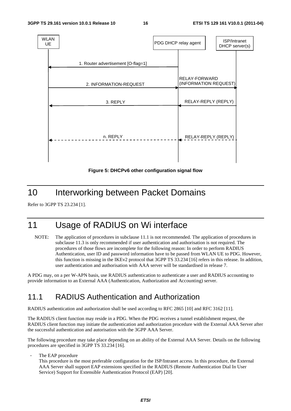

**Figure 5: DHCPv6 other configuration signal flow** 

# 10 Interworking between Packet Domains

Refer to 3GPP TS 23.234 [1].

# 11 Usage of RADIUS on Wi interface

NOTE: The application of procedures in subclause 11.1 is not recommended. The application of procedures in subclause 11.3 is only recommended if user authentication and authorisation is not required. The procedures of those flows are incomplete for the following reason: In order to perform RADIUS Authentication, user ID and password information have to be passed from WLAN UE to PDG. However, this function is missing in the IKEv2 protocol that 3GPP TS 33.234 [16] refers in this release. In addition, user authentication and authorisation with AAA server will be standardised in release 7.

A PDG may, on a per W-APN basis, use RADIUS authentication to authenticate a user and RADIUS accounting to provide information to an External AAA (Authentication, Authorization and Accounting) server.

### 11.1 RADIUS Authentication and Authorization

RADIUS authentication and authorization shall be used according to RFC 2865 [10] and RFC 3162 [11].

The RADIUS client function may reside in a PDG. When the PDG receives a tunnel establishment request, the RADIUS client function may initiate the authentication and authorization procedure with the External AAA Server after the successful authentication and autorisation with the 3GPP AAA Server.

The following procedure may take place depending on an ability of the External AAA Server. Details on the following procedures are specified in 3GPP TS 33.234 [16].

The EAP procedure

This procedure is the most preferable configuration for the ISP/Intranet access. In this procedure, the External AAA Server shall support EAP extensions specified in the RADIUS (Remote Authentication Dial In User Service) Support for Extensible Authentication Protocol (EAP) [20].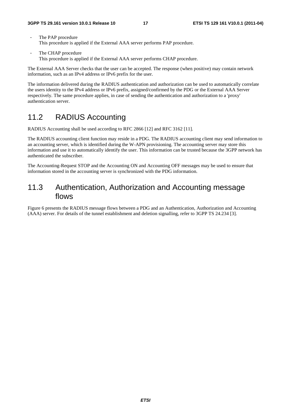- The PAP procedure This procedure is applied if the External AAA server performs PAP procedure.
- The CHAP procedure This procedure is applied if the External AAA server performs CHAP procedure.

The External AAA Server checks that the user can be accepted. The response (when positive) may contain network information, such as an IPv4 address or IPv6 prefix for the user.

The information delivered during the RADIUS authentication and authorization can be used to automatically correlate the users identity to the IPv4 address or IPv6 prefix, assigned/confirmed by the PDG or the External AAA Server respectively. The same procedure applies, in case of sending the authentication and authorization to a 'proxy' authentication server.

### 11.2 RADIUS Accounting

RADIUS Accounting shall be used according to RFC 2866 [12] and RFC 3162 [11].

The RADIUS accounting client function may reside in a PDG. The RADIUS accounting client may send information to an accounting server, which is identified during the W-APN provisioning. The accounting server may store this information and use it to automatically identify the user. This information can be trusted because the 3GPP network has authenticated the subscriber.

The Accounting-Request STOP and the Accounting ON and Accounting OFF messages may be used to ensure that information stored in the accounting server is synchronized with the PDG information.

### 11.3 Authentication, Authorization and Accounting message flows

Figure 6 presents the RADIUS message flows between a PDG and an Authentication, Authorization and Accounting (AAA) server. For details of the tunnel establishment and deletion signalling, refer to 3GPP TS 24.234 [3].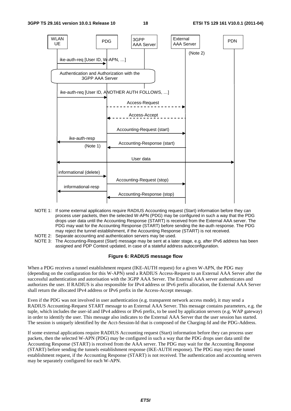

- NOTE 1: If some external applications require RADIUS Accounting request (Start) information before they can process user packets, then the selected W-APN (PDG) may be configured in such a way that the PDG drops user data until the Accounting Response (START) is received from the External AAA server. The PDG may wait for the Accounting Response (START) before sending the ike-auth response. The PDG may reject the tunnel establishment, if the Accounting Response (START) is not received.
- NOTE 2: Separate accounting and authentication servers may be used.<br>NOTE 3: The Accounting-Request (Start) message may be sent at a late
- The Accounting-Request (Start) message may be sent at a later stage, e.g. after IPv6 address has been assigned and PDP Context updated, in case of a stateful address autoconfiguration.

#### **Figure 6: RADIUS message flow**

When a PDG receives a tunnel establishment request (IKE-AUTH request) for a given W-APN, the PDG may (depending on the configuration for this W-APN) send a RADIUS Access-Request to an External AAA Server after the successful authentication and autorisation with the 3GPP AAA Server. The External AAA server authenticates and authorizes the user. If RADIUS is also responsible for IPv4 address or IPv6 prefix allocation, the External AAA Server shall return the allocated IPv4 address or IPv6 prefix in the Access-Accept message.

Even if the PDG was not involved in user authentication (e.g. transparent network access mode), it may send a RADIUS Accounting-Request START message to an External AAA Server. This message contains parameters, e.g. the tuple, which includes the user-id and IPv4 address or IPv6 prefix, to be used by application servers (e.g. WAP gateway) in order to identify the user. This message also indicates to the External AAA Server that the user session has started. The session is uniquely identified by the Acct-Session-Id that is composed of the Charging-Id and the PDG-Address.

If some external applications require RADIUS Accounting request (Start) information before they can process user packets, then the selected W-APN (PDG) may be configured in such a way that the PDG drops user data until the Accounting Response (START) is received from the AAA server. The PDG may wait for the Accounting Response (START) before sending the tunnels establishment response (IKE-AUTH response). The PDG may reject the tunnel establishment request, if the Accounting Response (START) is not received. The authentication and accounting servers may be separately configured for each W-APN.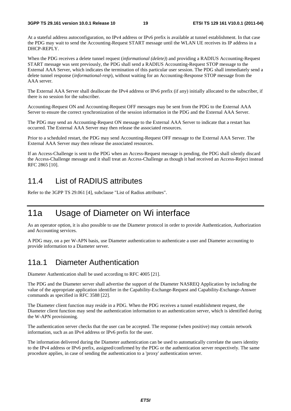At a stateful address autoconfiguration, no IPv4 address or IPv6 prefix is available at tunnel establishment. In that case the PDG may wait to send the Accounting-Request START message until the WLAN UE receives its IP address in a DHCP-REPLY.

When the PDG receives a delete tunnel request (*informational (delete)*) and providing a RADIUS Accounting-Request START message was sent previously, the PDG shall send a RADIUS Accounting-Request STOP message to the External AAA Server, which indicates the termination of this particular user session. The PDG shall immediately send a delete tunnel response (*informational-resp*), without waiting for an Accounting-Response STOP message from the AAA server.

The External AAA Server shall deallocate the IPv4 address or IPv6 prefix (if any) initially allocated to the subscriber, if there is no session for the subscriber.

Accounting-Request ON and Accounting-Request OFF messages may be sent from the PDG to the External AAA Server to ensure the correct synchronization of the session information in the PDG and the External AAA Server.

The PDG may send an Accounting-Request ON message to the External AAA Server to indicate that a restart has occurred. The External AAA Server may then release the associated resources.

Prior to a scheduled restart, the PDG may send Accounting-Request OFF message to the External AAA Server. The External AAA Server may then release the associated resources.

If an Access-Challenge is sent to the PDG when an Access-Request message is pending, the PDG shall silently discard the Access-Challenge message and it shall treat an Access-Challenge as though it had received an Access-Reject instead RFC 2865 [10].

### 11.4 List of RADIUS attributes

Refer to the 3GPP TS 29.061 [4], subclause "List of Radius attributes".

# 11a Usage of Diameter on Wi interface

As an operator option, it is also possible to use the Diameter protocol in order to provide Authentication, Authorization and Accounting services.

A PDG may, on a per W-APN basis, use Diameter authentication to authenticate a user and Diameter accounting to provide information to a Diameter server.

### 11a.1 Diameter Authentication

Diameter Authentication shall be used according to RFC 4005 [21].

The PDG and the Diameter server shall advertise the support of the Diameter NASREQ Application by including the value of the appropriate application identifier in the Capability-Exchange-Request and Capability-Exchange-Answer commands as specified in RFC 3588 [22].

The Diameter client function may reside in a PDG. When the PDG receives a tunnel establishment request, the Diameter client function may send the authentication information to an authentication server, which is identified during the W-APN provisioning.

The authentication server checks that the user can be accepted. The response (when positive) may contain network information, such as an IPv4 address or IPv6 prefix for the user.

The information delivered during the Diameter authentication can be used to automatically correlate the users identity to the IPv4 address or IPv6 prefix, assigned/confirmed by the PDG or the authentication server respectively. The same procedure applies, in case of sending the authentication to a 'proxy' authentication server.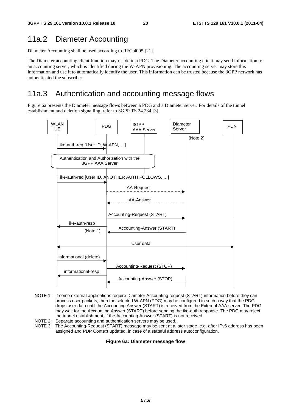### 11a.2 Diameter Accounting

Diameter Accounting shall be used according to RFC 4005 [21].

The Diameter accounting client function may reside in a PDG. The Diameter accounting client may send information to an accounting server, which is identified during the W-APN provisioning. The accounting server may store this information and use it to automatically identify the user. This information can be trusted because the 3GPP network has authenticated the subscriber.

### 11a.3 Authentication and accounting message flows

Figure 6a presents the Diameter message flows between a PDG and a Diameter server. For details of the tunnel establishment and deletion signalling, refer to 3GPP TS 24.234 [3].



- NOTE 1: If some external applications require Diameter Accounting request (START) information before they can process user packets, then the selected W-APN (PDG) may be configured in such a way that the PDG drops user data until the Accounting Answer (START) is received from the External AAA server. The PDG may wait for the Accounting Answer (START) before sending the ike-auth response. The PDG may reject the tunnel establishment, if the Accounting Answer (START) is not received.
- NOTE 2: Separate accounting and authentication servers may be used.
- NOTE 3: The Accounting-Request (START) message may be sent at a later stage, e.g. after IPv6 address has been assigned and PDP Context updated, in case of a stateful address autoconfiguration.

#### **Figure 6a: Diameter message flow**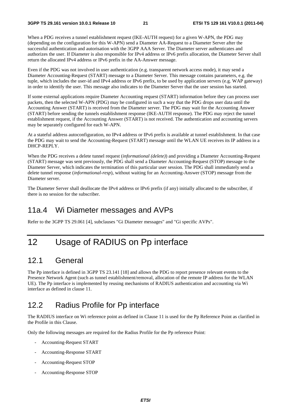When a PDG receives a tunnel establishment request (IKE-AUTH request) for a given W-APN, the PDG may (depending on the configuration for this W-APN) send a Diameter AA-Request to a Diameter Server after the successful authentication and autorisation with the 3GPP AAA Server. The Diameter server authenticates and authorizes the user. If Diameter is also responsible for IPv4 address or IPv6 prefix allocation, the Diameter Server shall return the allocated IPv4 address or IPv6 prefix in the AA-Answer message.

Even if the PDG was not involved in user authentication (e.g. transparent network access mode), it may send a Diameter Accounting-Request (START) message to a Diameter Server. This message contains parameters, e.g. the tuple, which includes the user-id and IPv4 address or IPv6 prefix, to be used by application servers (e.g. WAP gateway) in order to identify the user. This message also indicates to the Diameter Server that the user session has started.

If some external applications require Diameter Accounting request (START) information before they can process user packets, then the selected W-APN (PDG) may be configured in such a way that the PDG drops user data until the Accounting Answer (START) is received from the Diameter server. The PDG may wait for the Accounting Answer (START) before sending the tunnels establishment response (IKE-AUTH response). The PDG may reject the tunnel establishment request, if the Accounting Answer (START) is not received. The authentication and accounting servers may be separately configured for each W-APN.

At a stateful address autoconfiguration, no IPv4 address or IPv6 prefix is available at tunnel establishment. In that case the PDG may wait to send the Accounting-Request (START) message until the WLAN UE receives its IP address in a DHCP-REPLY.

When the PDG receives a delete tunnel request (*informational (delete)*) and providing a Diameter Accounting-Request (START) message was sent previously, the PDG shall send a Diameter Accounting-Request (STOP) message to the Diameter Server, which indicates the termination of this particular user session. The PDG shall immediately send a delete tunnel response (*informational-resp*), without waiting for an Accounting-Answer (STOP) message from the Diameter server.

The Diameter Server shall deallocate the IPv4 address or IPv6 prefix (if any) initially allocated to the subscriber, if there is no session for the subscriber.

### 11a.4 Wi Diameter messages and AVPs

Refer to the 3GPP TS 29.061 [4], subclauses "Gi Diameter messages" and "Gi specific AVPs".

# 12 Usage of RADIUS on Pp interface

### 12.1 General

The Pp interface is defined in 3GPP TS 23.141 [18] and allows the PDG to report presence relevant events to the Presence Network Agent (such as tunnel establishment/removal, allocation of the remote IP address for the WLAN UE). The Pp interface is implemented by reusing mechanisms of RADIUS authentication and accounting via Wi interface as defined in clause 11.

### 12.2 Radius Profile for Pp interface

The RADIUS interface on Wi reference point as defined in Clause 11 is used for the Pp Reference Point as clarified in the Profile in this Clause.

Only the following messages are required for the Radius Profile for the Pp reference Point:

- Accounting-Request START
- Accounting-Response START
- Accounting-Request STOP
- Accounting-Response STOP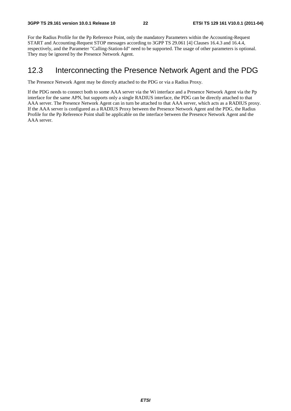For the Radius Profile for the Pp Reference Point, only the mandatory Parameters within the Accounting-Request START and Accounting-Request STOP messages according to 3GPP TS 29.061 [4] Clauses 16.4.3 and 16.4.4, respectively, and the Parameter "Calling-Station-Id" need to be supported. The usage of other parameters is optional. They may be ignored by the Presence Network Agent.

### 12.3 Interconnecting the Presence Network Agent and the PDG

The Presence Network Agent may be directly attached to the PDG or via a Radius Proxy.

If the PDG needs to connect both to some AAA server via the Wi interface and a Presence Network Agent via the Pp interface for the same APN, but supports only a single RADIUS interface, the PDG can be directly attached to that AAA server. The Presence Network Agent can in turn be attached to that AAA server, which acts as a RADIUS proxy. If the AAA server is configured as a RADIUS Proxy between the Presence Network Agent and the PDG, the Radius Profile for the Pp Reference Point shall be applicable on the interface between the Presence Network Agent and the AAA server.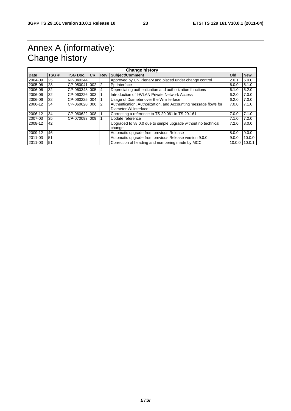# Annex A (informative): Change history

| <b>Change history</b> |      |               |    |            |                                                                 |        |            |
|-----------------------|------|---------------|----|------------|-----------------------------------------------------------------|--------|------------|
| Date                  | TSG# | TSG Doc.      | CR | <b>Rev</b> | <b>Subject/Comment</b>                                          | Old    | <b>New</b> |
| 2004-09               | 25   | NP-040344     |    |            | Approved by CN Plenary and placed under change control          | 2.0.1  | 6.0.0      |
| 2005-06               | 28   | CP-050041 002 |    | 2          | Pp Interface                                                    | 6.0.0  | 6.1.0      |
| 2006-06               | 32   | CP-0603481005 |    | 4          | Depreciating authentication and authorization functions         | 6.1.0  | 6.2.0      |
| 2006-06               | 32   | CP-060226 003 |    |            | Introduction of I-WLAN Private Network Access                   | 6.2.0  | 7.0.0      |
| 2006-06               | 32   | CP-0602251004 |    |            | Usage of Diameter over the Wi interface                         | 6.2.0  | 7.0.0      |
| 2006-12               | 34   | CP-0606281006 |    | 2          | Authentication, Authorization, and Accounting message flows for | 7.0.0  | 7.1.0      |
|                       |      |               |    |            | Diameter Wi interface                                           |        |            |
| 2006-12               | 34   | CP-0606221008 |    |            | Correcting a reference to TS 29.061 in TS 29.161                | 7.0.0  | 7.1.0      |
| 2007-03               | 35   | CP-0700931009 |    |            | Update reference                                                | 7.1.0  | 7.2.0      |
| 2008-12               | 42   |               |    |            | Upgraded to v8.0.0 due to simple upgrade without no technical   | 7.2.0  | 8.0.0      |
|                       |      |               |    |            | change                                                          |        |            |
| 2009-12               | 46   |               |    |            | Automatic upgrade from previous Release                         | 8.0.0  | 9.0.0      |
| 2011-03               | 51   |               |    |            | Automatic upgrade from previous Release version 9.0.0           | 9.0.0  | 10.0.0     |
| 2011-03               | 51   |               |    |            | Correction of heading and numbering made by MCC                 | 10.0.0 | 10.0.1     |